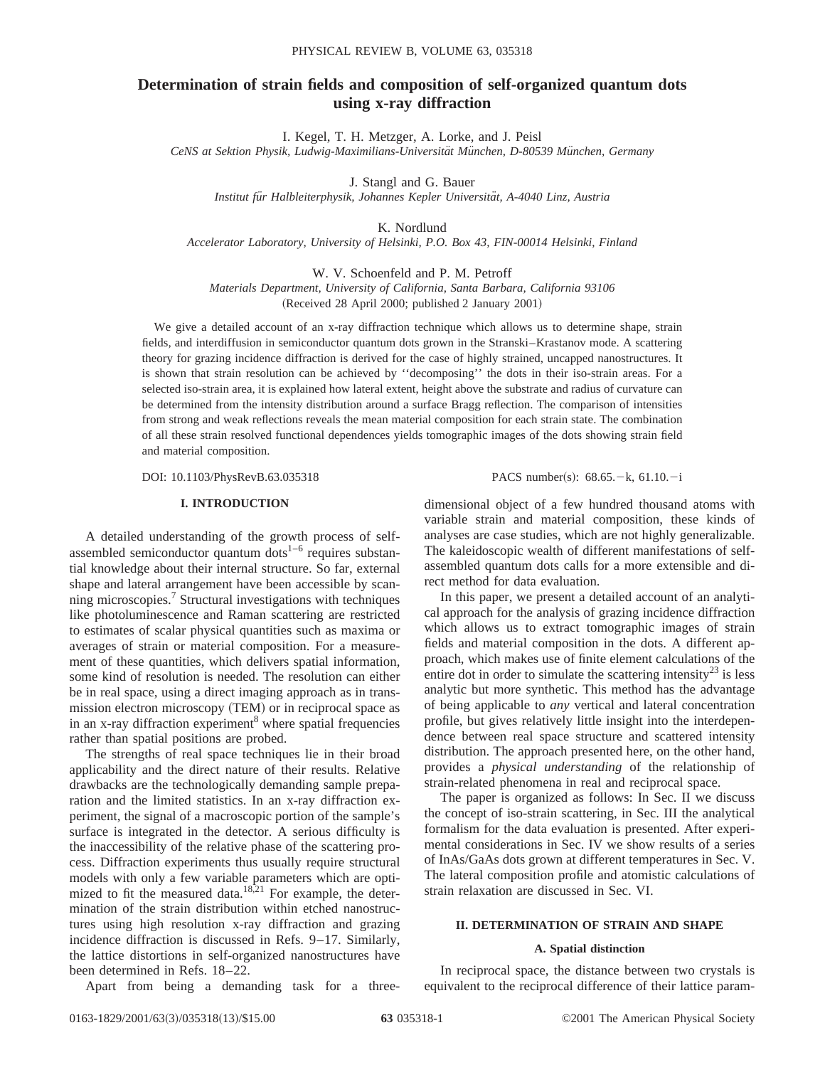# **Determination of strain fields and composition of self-organized quantum dots using x-ray diffraction**

I. Kegel, T. H. Metzger, A. Lorke, and J. Peisl

CeNS at Sektion Physik, Ludwig-Maximilians-Universität München, D-80539 München, Germany

J. Stangl and G. Bauer

*Institut fu¨r Halbleiterphysik, Johannes Kepler Universita¨t, A-4040 Linz, Austria*

K. Nordlund

*Accelerator Laboratory, University of Helsinki, P.O. Box 43, FIN-00014 Helsinki, Finland*

# W. V. Schoenfeld and P. M. Petroff

*Materials Department, University of California, Santa Barbara, California 93106* (Received 28 April 2000; published 2 January 2001)

We give a detailed account of an x-ray diffraction technique which allows us to determine shape, strain fields, and interdiffusion in semiconductor quantum dots grown in the Stranski–Krastanov mode. A scattering theory for grazing incidence diffraction is derived for the case of highly strained, uncapped nanostructures. It is shown that strain resolution can be achieved by ''decomposing'' the dots in their iso-strain areas. For a selected iso-strain area, it is explained how lateral extent, height above the substrate and radius of curvature can be determined from the intensity distribution around a surface Bragg reflection. The comparison of intensities from strong and weak reflections reveals the mean material composition for each strain state. The combination of all these strain resolved functional dependences yields tomographic images of the dots showing strain field and material composition.

DOI: 10.1103/PhysRevB.63.035318 PACS number(s): 68.65. - k, 61.10. - i

# **I. INTRODUCTION**

A detailed understanding of the growth process of selfassembled semiconductor quantum  $dots^{1-6}$  requires substantial knowledge about their internal structure. So far, external shape and lateral arrangement have been accessible by scanning microscopies.<sup>7</sup> Structural investigations with techniques like photoluminescence and Raman scattering are restricted to estimates of scalar physical quantities such as maxima or averages of strain or material composition. For a measurement of these quantities, which delivers spatial information, some kind of resolution is needed. The resolution can either be in real space, using a direct imaging approach as in transmission electron microscopy (TEM) or in reciprocal space as in an x-ray diffraction experiment<sup>8</sup> where spatial frequencies rather than spatial positions are probed.

The strengths of real space techniques lie in their broad applicability and the direct nature of their results. Relative drawbacks are the technologically demanding sample preparation and the limited statistics. In an x-ray diffraction experiment, the signal of a macroscopic portion of the sample's surface is integrated in the detector. A serious difficulty is the inaccessibility of the relative phase of the scattering process. Diffraction experiments thus usually require structural models with only a few variable parameters which are optimized to fit the measured data. $18,21$  For example, the determination of the strain distribution within etched nanostructures using high resolution x-ray diffraction and grazing incidence diffraction is discussed in Refs. 9–17. Similarly, the lattice distortions in self-organized nanostructures have been determined in Refs. 18–22.

Apart from being a demanding task for a three-

dimensional object of a few hundred thousand atoms with variable strain and material composition, these kinds of analyses are case studies, which are not highly generalizable. The kaleidoscopic wealth of different manifestations of selfassembled quantum dots calls for a more extensible and direct method for data evaluation.

In this paper, we present a detailed account of an analytical approach for the analysis of grazing incidence diffraction which allows us to extract tomographic images of strain fields and material composition in the dots. A different approach, which makes use of finite element calculations of the entire dot in order to simulate the scattering intensity<sup>23</sup> is less analytic but more synthetic. This method has the advantage of being applicable to *any* vertical and lateral concentration profile, but gives relatively little insight into the interdependence between real space structure and scattered intensity distribution. The approach presented here, on the other hand, provides a *physical understanding* of the relationship of strain-related phenomena in real and reciprocal space.

The paper is organized as follows: In Sec. II we discuss the concept of iso-strain scattering, in Sec. III the analytical formalism for the data evaluation is presented. After experimental considerations in Sec. IV we show results of a series of InAs/GaAs dots grown at different temperatures in Sec. V. The lateral composition profile and atomistic calculations of strain relaxation are discussed in Sec. VI.

# **II. DETERMINATION OF STRAIN AND SHAPE**

## **A. Spatial distinction**

In reciprocal space, the distance between two crystals is equivalent to the reciprocal difference of their lattice param-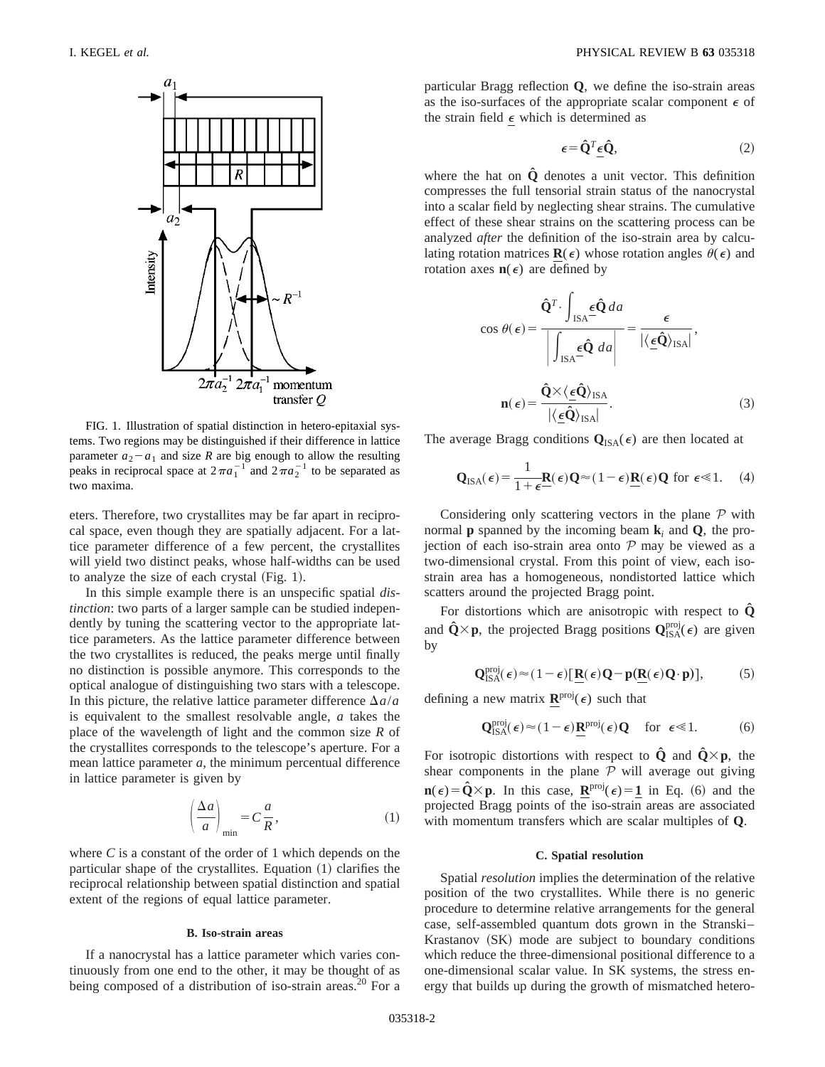

FIG. 1. Illustration of spatial distinction in hetero-epitaxial systems. Two regions may be distinguished if their difference in lattice parameter  $a_2 - a_1$  and size *R* are big enough to allow the resulting peaks in reciprocal space at  $2\pi a_1^{-1}$  and  $2\pi a_2^{-1}$  to be separated as two maxima.

eters. Therefore, two crystallites may be far apart in reciprocal space, even though they are spatially adjacent. For a lattice parameter difference of a few percent, the crystallites will yield two distinct peaks, whose half-widths can be used to analyze the size of each crystal  $(Fig. 1)$ .

In this simple example there is an unspecific spatial *distinction*: two parts of a larger sample can be studied independently by tuning the scattering vector to the appropriate lattice parameters. As the lattice parameter difference between the two crystallites is reduced, the peaks merge until finally no distinction is possible anymore. This corresponds to the optical analogue of distinguishing two stars with a telescope. In this picture, the relative lattice parameter difference  $\Delta a/a$ is equivalent to the smallest resolvable angle, *a* takes the place of the wavelength of light and the common size *R* of the crystallites corresponds to the telescope's aperture. For a mean lattice parameter *a*, the minimum percentual difference in lattice parameter is given by

$$
\left(\frac{\Delta a}{a}\right)_{\min} = C\frac{a}{R},\tag{1}
$$

where *C* is a constant of the order of 1 which depends on the particular shape of the crystallites. Equation  $(1)$  clarifies the reciprocal relationship between spatial distinction and spatial extent of the regions of equal lattice parameter.

### **B. Iso-strain areas**

If a nanocrystal has a lattice parameter which varies continuously from one end to the other, it may be thought of as being composed of a distribution of iso-strain areas.<sup>20</sup> For a particular Bragg reflection **Q**, we define the iso-strain areas as the iso-surfaces of the appropriate scalar component  $\epsilon$  of the strain field  $\epsilon$  which is determined as

$$
\epsilon = \hat{\mathbf{Q}}^T \epsilon \hat{\mathbf{Q}},\tag{2}
$$

where the hat on  $\hat{Q}$  denotes a unit vector. This definition compresses the full tensorial strain status of the nanocrystal into a scalar field by neglecting shear strains. The cumulative effect of these shear strains on the scattering process can be analyzed *after* the definition of the iso-strain area by calculating rotation matrices  $\mathbf{R}(\epsilon)$  whose rotation angles  $\theta(\epsilon)$  and rotation axes  $n(\epsilon)$  are defined by

$$
\cos \theta(\epsilon) = \frac{\hat{\mathbf{Q}}^T \cdot \int_{\text{ISA}} \underline{\epsilon} \hat{\mathbf{Q}} \, da}{\left| \int_{\text{ISA}} \underline{\epsilon} \hat{\mathbf{Q}} \, da \right|} = \frac{\epsilon}{\left| \langle \underline{\epsilon} \hat{\mathbf{Q}} \rangle_{\text{ISA}} \right|},
$$
\n
$$
\mathbf{n}(\epsilon) = \frac{\hat{\mathbf{Q}} \times \langle \underline{\epsilon} \hat{\mathbf{Q}} \rangle_{\text{ISA}}}{\left| \langle \underline{\epsilon} \hat{\mathbf{Q}} \rangle_{\text{ISA}} \right|}. \tag{3}
$$

The average Bragg conditions  $Q_{\text{ISA}}(\epsilon)$  are then located at

$$
\mathbf{Q}_{\text{ISA}}(\epsilon) = \frac{1}{1+\epsilon} \mathbf{R}(\epsilon) \mathbf{Q} \approx (1-\epsilon) \mathbf{R}(\epsilon) \mathbf{Q} \text{ for } \epsilon \ll 1. \tag{4}
$$

Considering only scattering vectors in the plane  $P$  with normal **p** spanned by the incoming beam  $\mathbf{k}_i$  and  $\mathbf{Q}$ , the projection of each iso-strain area onto  $P$  may be viewed as a two-dimensional crystal. From this point of view, each isostrain area has a homogeneous, nondistorted lattice which scatters around the projected Bragg point.

For distortions which are anisotropic with respect to  $\hat{Q}$ and  $\hat{\mathbf{Q}} \times \mathbf{p}$ , the projected Bragg positions  $\mathbf{Q}_{\text{ISA}}^{\text{proj}}(\epsilon)$  are given by

$$
Q_{ISA}^{proj}(\epsilon) \!\approx\! (1\!-\!\epsilon)[\underline{R}(\epsilon)Q\!-\!p(\underline{R}(\epsilon)Q\!\cdot\!p)], \qquad \quad (5)
$$

defining a new matrix  $\mathbf{R}^{\text{proj}}(\epsilon)$  such that

$$
\mathbf{Q}_{\text{ISA}}^{\text{proj}}(\boldsymbol{\epsilon}) \approx (1 - \boldsymbol{\epsilon}) \mathbf{\underline{R}}^{\text{proj}}(\boldsymbol{\epsilon}) \mathbf{Q} \quad \text{for } \boldsymbol{\epsilon} \ll 1. \tag{6}
$$

For isotropic distortions with respect to  $\hat{Q}$  and  $\hat{Q} \times p$ , the shear components in the plane  $P$  will average out giving  $\mathbf{n}(\epsilon) = \hat{\mathbf{Q}} \times \mathbf{p}$ . In this case,  $\mathbf{R}^{\text{proj}}(\epsilon) = 1$  in Eq. (6) and the projected Bragg points of the iso-strain areas are associated with momentum transfers which are scalar multiples of **Q**.

### **C. Spatial resolution**

Spatial *resolution* implies the determination of the relative position of the two crystallites. While there is no generic procedure to determine relative arrangements for the general case, self-assembled quantum dots grown in the Stranski– Krastanov (SK) mode are subject to boundary conditions which reduce the three-dimensional positional difference to a one-dimensional scalar value. In SK systems, the stress energy that builds up during the growth of mismatched hetero-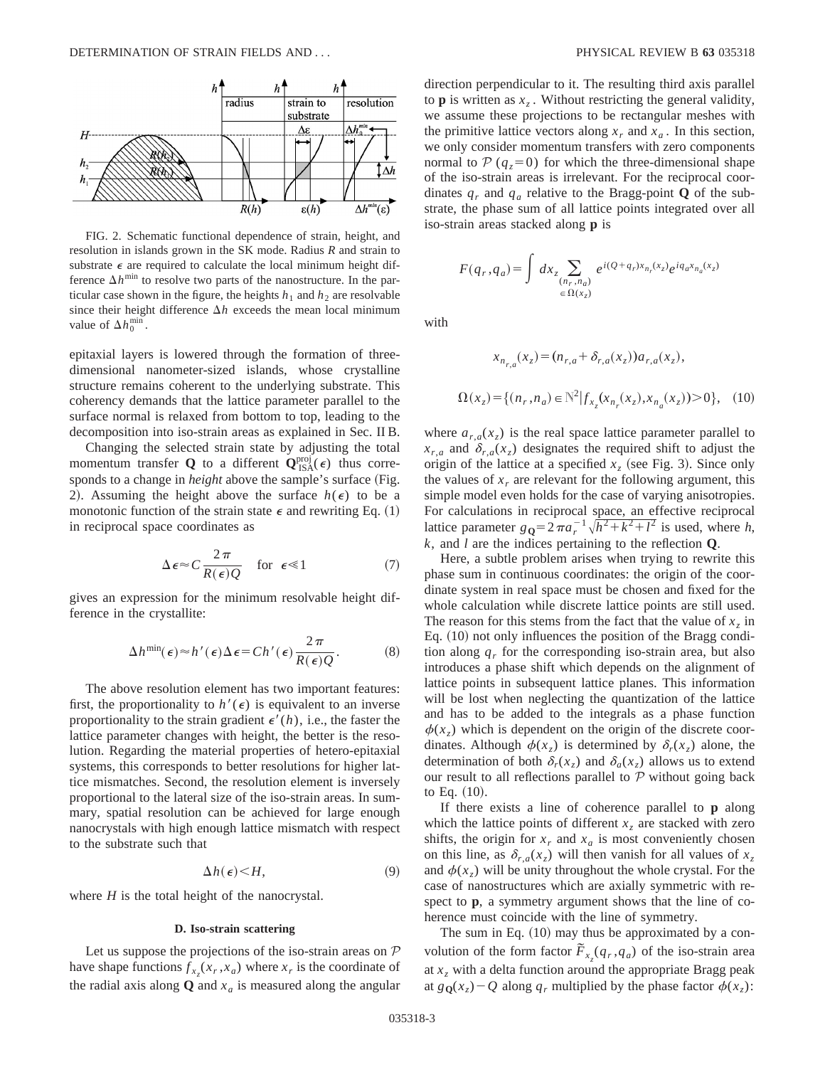

FIG. 2. Schematic functional dependence of strain, height, and resolution in islands grown in the SK mode. Radius *R* and strain to substrate  $\epsilon$  are required to calculate the local minimum height difference  $\Delta h^{\text{min}}$  to resolve two parts of the nanostructure. In the particular case shown in the figure, the heights  $h_1$  and  $h_2$  are resolvable since their height difference  $\Delta h$  exceeds the mean local minimum value of  $\Delta h_0^{\text{min}}$ .

epitaxial layers is lowered through the formation of threedimensional nanometer-sized islands, whose crystalline structure remains coherent to the underlying substrate. This coherency demands that the lattice parameter parallel to the surface normal is relaxed from bottom to top, leading to the decomposition into iso-strain areas as explained in Sec. II B.

Changing the selected strain state by adjusting the total momentum transfer **Q** to a different  $Q_{\text{ISA}}^{\text{proj}}(\epsilon)$  thus corresponds to a change in *height* above the sample's surface (Fig. 2). Assuming the height above the surface  $h(\epsilon)$  to be a monotonic function of the strain state  $\epsilon$  and rewriting Eq. (1) in reciprocal space coordinates as

$$
\Delta \epsilon \approx C \frac{2\pi}{R(\epsilon)Q} \quad \text{for } \epsilon \ll 1 \tag{7}
$$

gives an expression for the minimum resolvable height difference in the crystallite:

$$
\Delta h^{\min}(\epsilon) \approx h'(\epsilon) \Delta \epsilon = Ch'(\epsilon) \frac{2\pi}{R(\epsilon)Q}.
$$
 (8)

The above resolution element has two important features: first, the proportionality to  $h'(\epsilon)$  is equivalent to an inverse proportionality to the strain gradient  $\epsilon'(h)$ , i.e., the faster the lattice parameter changes with height, the better is the resolution. Regarding the material properties of hetero-epitaxial systems, this corresponds to better resolutions for higher lattice mismatches. Second, the resolution element is inversely proportional to the lateral size of the iso-strain areas. In summary, spatial resolution can be achieved for large enough nanocrystals with high enough lattice mismatch with respect to the substrate such that

$$
\Delta h(\epsilon) \le H,\tag{9}
$$

where *H* is the total height of the nanocrystal.

#### **D. Iso-strain scattering**

Let us suppose the projections of the iso-strain areas on  $P$ have shape functions  $f_{x_z}(x_r, x_a)$  where  $x_r$  is the coordinate of the radial axis along  $Q$  and  $x_a$  is measured along the angular direction perpendicular to it. The resulting third axis parallel to **p** is written as  $x<sub>z</sub>$ . Without restricting the general validity, we assume these projections to be rectangular meshes with the primitive lattice vectors along  $x_r$  and  $x_a$ . In this section, we only consider momentum transfers with zero components normal to  $P(q_z=0)$  for which the three-dimensional shape of the iso-strain areas is irrelevant. For the reciprocal coordinates  $q_r$  and  $q_a$  relative to the Bragg-point **Q** of the substrate, the phase sum of all lattice points integrated over all iso-strain areas stacked along **p** is

$$
F(q_r,q_a) = \int dx_{z} \sum_{\substack{(n_r,n_a) \\ \in \Omega(x_z)}} e^{i(Q+q_r)x_{n_r}(x_z)} e^{iq_a x_{n_a}(x_z)}
$$

with

$$
x_{n_{r,a}}(x_z) = (n_{r,a} + \delta_{r,a}(x_z))a_{r,a}(x_z),
$$
  

$$
\Omega(x_z) = \{(n_r, n_a) \in \mathbb{N}^2 | f_{x_z}(x_{n_r}(x_z), x_{n_a}(x_z)) > 0 \}, \quad (10)
$$

where  $a_{r,a}(x_z)$  is the real space lattice parameter parallel to  $x_{r,a}$  and  $\delta_{r,a}(x_z)$  designates the required shift to adjust the origin of the lattice at a specified  $x<sub>z</sub>$  (see Fig. 3). Since only the values of  $x_r$  are relevant for the following argument, this simple model even holds for the case of varying anisotropies. For calculations in reciprocal space, an effective reciprocal lattice parameter  $g_{\mathbf{Q}} = 2 \pi a_r^{-1} \sqrt{h^2 + k^2 + l^2}$  is used, where *h*, *k*, and *l* are the indices pertaining to the reflection **Q**.

Here, a subtle problem arises when trying to rewrite this phase sum in continuous coordinates: the origin of the coordinate system in real space must be chosen and fixed for the whole calculation while discrete lattice points are still used. The reason for this stems from the fact that the value of  $x<sub>z</sub>$  in Eq. (10) not only influences the position of the Bragg condition along  $q_r$  for the corresponding iso-strain area, but also introduces a phase shift which depends on the alignment of lattice points in subsequent lattice planes. This information will be lost when neglecting the quantization of the lattice and has to be added to the integrals as a phase function  $\phi(x)$  which is dependent on the origin of the discrete coordinates. Although  $\phi(x_z)$  is determined by  $\delta_r(x_z)$  alone, the determination of both  $\delta_r(x)$  and  $\delta_a(x)$  allows us to extend our result to all reflections parallel to  $P$  without going back to Eq.  $(10)$ .

If there exists a line of coherence parallel to **p** along which the lattice points of different  $x<sub>z</sub>$  are stacked with zero shifts, the origin for  $x_r$  and  $x_a$  is most conveniently chosen on this line, as  $\delta_{r,a}(x_z)$  will then vanish for all values of  $x_z$ and  $\phi(x)$  will be unity throughout the whole crystal. For the case of nanostructures which are axially symmetric with respect to **p**, a symmetry argument shows that the line of coherence must coincide with the line of symmetry.

The sum in Eq.  $(10)$  may thus be approximated by a convolution of the form factor  $\tilde{F}_{x_z}(q_r, q_a)$  of the iso-strain area at  $x<sub>z</sub>$  with a delta function around the appropriate Bragg peak at  $g_0(x_z) - Q$  along  $q_r$  multiplied by the phase factor  $\phi(x_z)$ :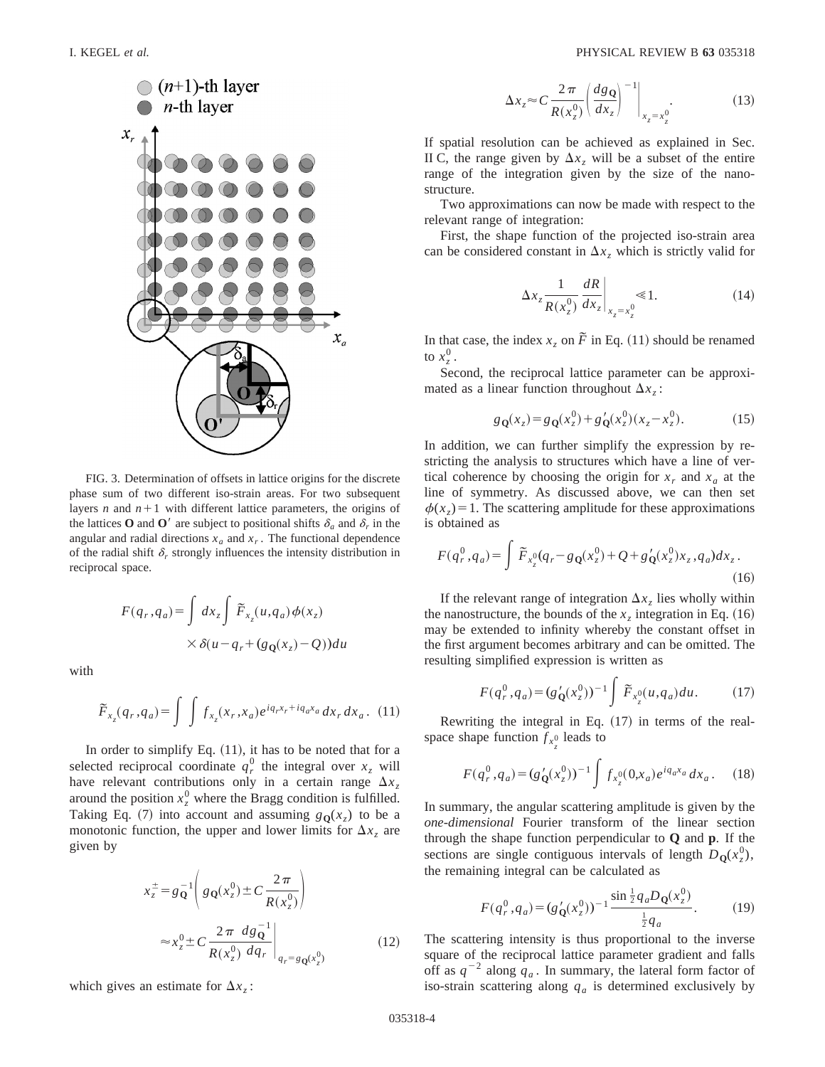

FIG. 3. Determination of offsets in lattice origins for the discrete phase sum of two different iso-strain areas. For two subsequent layers *n* and  $n+1$  with different lattice parameters, the origins of the lattices **O** and **O**<sup> $\prime$ </sup> are subject to positional shifts  $\delta_a$  and  $\delta_r$  in the angular and radial directions  $x_a$  and  $x_r$ . The functional dependence of the radial shift  $\delta_r$  strongly influences the intensity distribution in reciprocal space.

$$
F(q_r, q_a) = \int dx_z \int \widetilde{F}_{x_z}(u, q_a) \phi(x_z)
$$

$$
\times \delta(u - q_r + (g_Q(x_z) - Q))du
$$

with

$$
\widetilde{F}_{x_z}(q_r, q_a) = \int \int f_{x_z}(x_r, x_a) e^{iq_r x_r + iq_a x_a} dx_r dx_a.
$$
 (11)

In order to simplify Eq.  $(11)$ , it has to be noted that for a selected reciprocal coordinate  $q_r^0$  the integral over  $x_z$  will have relevant contributions only in a certain range  $\Delta x$ <sub>z</sub> around the position  $x^0$ <sub>z</sub> where the Bragg condition is fulfilled. Taking Eq. (7) into account and assuming  $g_{\mathbf{Q}}(x_z)$  to be a monotonic function, the upper and lower limits for  $\Delta x$ <sub>z</sub> are given by

$$
x_z^{\pm} = g_Q^{-1} \left( g_Q(x_z^0) \pm C \frac{2\pi}{R(x_z^0)} \right)
$$
  

$$
\approx x_z^0 \pm C \frac{2\pi \, d g_Q^{-1}}{R(x_z^0) \, d q_r} \bigg|_{q_r = g_Q(x_z^0)} \tag{12}
$$

which gives an estimate for  $\Delta x$ <sub>z</sub>:

$$
\Delta x_z \approx C \frac{2\pi}{R(x_z^0)} \left(\frac{dg\mathbf{Q}}{dx_z}\right)^{-1} \Big|_{x_z = x_z^0}.
$$
 (13)

If spatial resolution can be achieved as explained in Sec. II C, the range given by  $\Delta x$ , will be a subset of the entire range of the integration given by the size of the nanostructure.

Two approximations can now be made with respect to the relevant range of integration:

First, the shape function of the projected iso-strain area can be considered constant in  $\Delta x$ <sub>z</sub> which is strictly valid for

$$
\Delta x_z \frac{1}{R(x_z^0)} \frac{dR}{dx_z}\bigg|_{x_z = x_z^0} \ll 1. \tag{14}
$$

In that case, the index  $x_z$  on  $\tilde{F}$  in Eq. (11) should be renamed to  $x_z^0$ .

Second, the reciprocal lattice parameter can be approximated as a linear function throughout  $\Delta x$ <sub>z</sub>:

$$
g_{\mathbf{Q}}(x_z) = g_{\mathbf{Q}}(x_z^0) + g_{\mathbf{Q}}'(x_z^0)(x_z - x_z^0). \tag{15}
$$

In addition, we can further simplify the expression by restricting the analysis to structures which have a line of vertical coherence by choosing the origin for  $x_r$  and  $x_a$  at the line of symmetry. As discussed above, we can then set  $\phi(x)$ =1. The scattering amplitude for these approximations is obtained as

$$
F(q_r^0, q_a) = \int \tilde{F}_{x_z^0}(q_r - g_Q(x_z^0) + Q + g_Q'(x_z^0)x_z, q_a)dx_z.
$$
\n(16)

If the relevant range of integration  $\Delta x$ <sub>z</sub> lies wholly within the nanostructure, the bounds of the  $x<sub>z</sub>$  integration in Eq. (16) may be extended to infinity whereby the constant offset in the first argument becomes arbitrary and can be omitted. The resulting simplified expression is written as

$$
F(q_r^0, q_a) = (g_Q'(x_z^0))^{-1} \int \tilde{F}_{x_z^0}(u, q_a) du.
$$
 (17)

Rewriting the integral in Eq.  $(17)$  in terms of the realspace shape function  $f_{x^0_\text{z}}$  leads to

$$
F(q_r^0, q_a) = (g_Q'(x_z^0))^{-1} \int f_{x_z^0}(0, x_a) e^{iq_a x_a} dx_a.
$$
 (18)

In summary, the angular scattering amplitude is given by the *one-dimensional* Fourier transform of the linear section through the shape function perpendicular to **Q** and **p**. If the sections are single contiguous intervals of length  $D_{\mathbf{Q}}(x_i^0)$ , the remaining integral can be calculated as

$$
F(q_r^0, q_a) = (g_Q'(x_z^0))^{-1} \frac{\sin \frac{1}{2} q_a D_Q(x_z^0)}{\frac{1}{2} q_a}.
$$
 (19)

The scattering intensity is thus proportional to the inverse square of the reciprocal lattice parameter gradient and falls off as  $q^{-2}$  along  $q_a$ . In summary, the lateral form factor of iso-strain scattering along  $q_a$  is determined exclusively by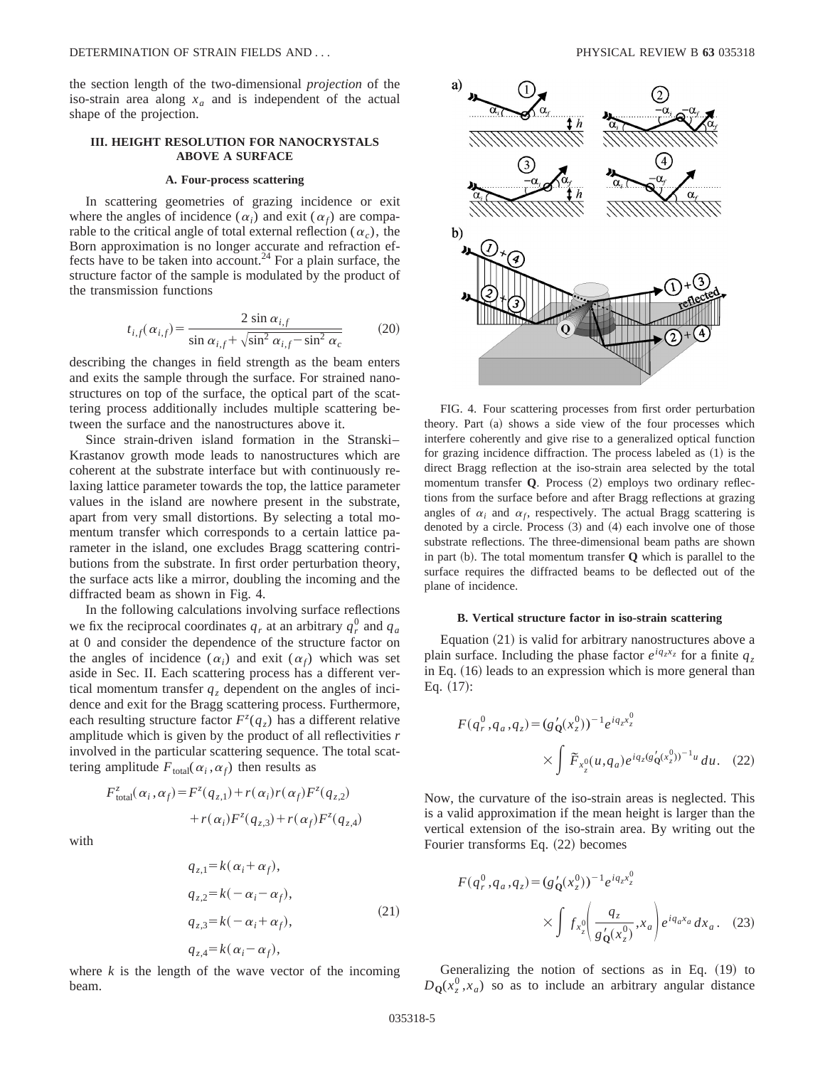the section length of the two-dimensional *projection* of the iso-strain area along  $x_a$  and is independent of the actual shape of the projection.

# **III. HEIGHT RESOLUTION FOR NANOCRYSTALS ABOVE A SURFACE**

## **A. Four-process scattering**

In scattering geometries of grazing incidence or exit where the angles of incidence ( $\alpha_i$ ) and exit ( $\alpha_f$ ) are comparable to the critical angle of total external reflection  $(\alpha_c)$ , the Born approximation is no longer accurate and refraction effects have to be taken into account.<sup>24</sup> For a plain surface, the structure factor of the sample is modulated by the product of the transmission functions

$$
t_{i,f}(\alpha_{i,f}) = \frac{2 \sin \alpha_{i,f}}{\sin \alpha_{i,f} + \sqrt{\sin^2 \alpha_{i,f} - \sin^2 \alpha_c}} \tag{20}
$$

describing the changes in field strength as the beam enters and exits the sample through the surface. For strained nanostructures on top of the surface, the optical part of the scattering process additionally includes multiple scattering between the surface and the nanostructures above it.

Since strain-driven island formation in the Stranski– Krastanov growth mode leads to nanostructures which are coherent at the substrate interface but with continuously relaxing lattice parameter towards the top, the lattice parameter values in the island are nowhere present in the substrate, apart from very small distortions. By selecting a total momentum transfer which corresponds to a certain lattice parameter in the island, one excludes Bragg scattering contributions from the substrate. In first order perturbation theory, the surface acts like a mirror, doubling the incoming and the diffracted beam as shown in Fig. 4.

In the following calculations involving surface reflections we fix the reciprocal coordinates  $q_r$  at an arbitrary  $q_r^0$  and  $q_a$ at 0 and consider the dependence of the structure factor on the angles of incidence  $(\alpha_i)$  and exit  $(\alpha_f)$  which was set aside in Sec. II. Each scattering process has a different vertical momentum transfer  $q<sub>z</sub>$  dependent on the angles of incidence and exit for the Bragg scattering process. Furthermore, each resulting structure factor  $F^z(q_z)$  has a different relative amplitude which is given by the product of all reflectivities *r* involved in the particular scattering sequence. The total scattering amplitude  $F_{\text{total}}(\alpha_i, \alpha_f)$  then results as

$$
F_{\text{total}}^{z}(\alpha_i, \alpha_f) = F^{z}(q_{z,1}) + r(\alpha_i)r(\alpha_f)F^{z}(q_{z,2})
$$
  
+ 
$$
r(\alpha_i)F^{z}(q_{z,3}) + r(\alpha_f)F^{z}(q_{z,4})
$$

with

$$
q_{z,1} = k(\alpha_i + \alpha_f),
$$
  
\n
$$
q_{z,2} = k(-\alpha_i - \alpha_f),
$$
  
\n
$$
q_{z,3} = k(-\alpha_i + \alpha_f),
$$
  
\n
$$
q_{z,4} = k(\alpha_i - \alpha_f),
$$
\n(21)

where  $k$  is the length of the wave vector of the incoming beam.



FIG. 4. Four scattering processes from first order perturbation theory. Part (a) shows a side view of the four processes which interfere coherently and give rise to a generalized optical function for grazing incidence diffraction. The process labeled as  $(1)$  is the direct Bragg reflection at the iso-strain area selected by the total momentum transfer **Q**. Process (2) employs two ordinary reflections from the surface before and after Bragg reflections at grazing angles of  $\alpha_i$  and  $\alpha_f$ , respectively. The actual Bragg scattering is denoted by a circle. Process  $(3)$  and  $(4)$  each involve one of those substrate reflections. The three-dimensional beam paths are shown in part  $(b)$ . The total momentum transfer  $Q$  which is parallel to the surface requires the diffracted beams to be deflected out of the plane of incidence.

### **B. Vertical structure factor in iso-strain scattering**

Equation  $(21)$  is valid for arbitrary nanostructures above a plain surface. Including the phase factor  $e^{iq_z x_z}$  for a finite  $q_z$ in Eq.  $(16)$  leads to an expression which is more general than Eq.  $(17)$ :

$$
F(q_r^0, q_a, q_z) = (g'_0(x_z^0))^{-1} e^{iq_z x_z^0}
$$
  
 
$$
\times \int \widetilde{F}_{x_z^0}(u, q_a) e^{iq_z (g'_0(x_z^0))^{-1}u} du. \quad (22)
$$

Now, the curvature of the iso-strain areas is neglected. This is a valid approximation if the mean height is larger than the vertical extension of the iso-strain area. By writing out the Fourier transforms Eq. (22) becomes

$$
(q_p^0, q_a, q_z) = (g'_0(x_z^0))^{-1} e^{iq_z x_z^0}
$$

$$
\times \int f_{x_z^0} \left( \frac{q_z}{g'_0(x_z^0)}, x_a \right) e^{iq_a x_a} dx_a. \quad (23)
$$

Generalizing the notion of sections as in Eq.  $(19)$  to  $D_{\mathbf{Q}}(x_1^0, x_a)$  so as to include an arbitrary angular distance

*F*~*qr*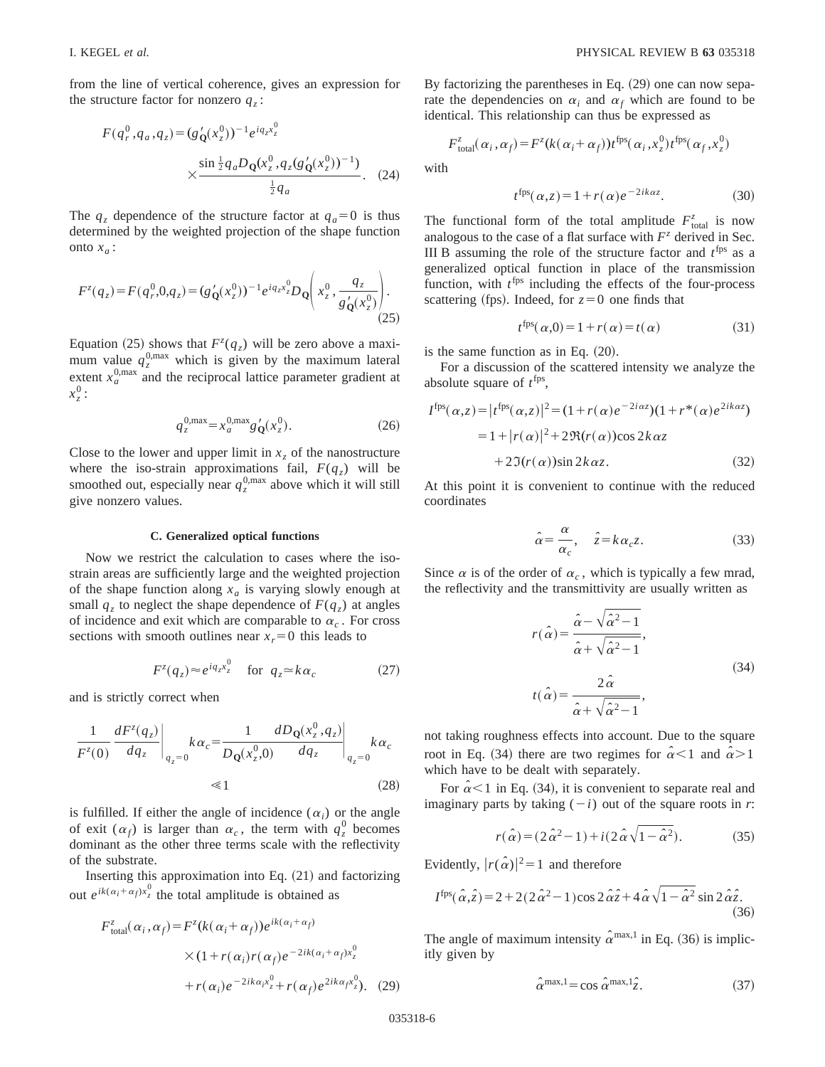from the line of vertical coherence, gives an expression for the structure factor for nonzero  $q_z$ :

$$
F(q_p^0, q_a, q_z) = (g_Q'(x_z^0))^{-1} e^{iq_z x_z^0}
$$
  

$$
\times \frac{\sin \frac{1}{2} q_a D_Q(x_z^0, q_z (g_Q'(x_z^0))^{-1})}{\frac{1}{2} q_a}.
$$
 (24)

The  $q_z$  dependence of the structure factor at  $q_a=0$  is thus determined by the weighted projection of the shape function onto  $x_a$  :

$$
F^{z}(q_{z}) = F(q_{r}^{0}, 0, q_{z}) = (g'_{\mathbf{Q}}(x_{z}^{0}))^{-1} e^{iq_{z}x_{z}^{0}} D_{\mathbf{Q}}\left(x_{z}^{0}, \frac{q_{z}}{g'_{\mathbf{Q}}(x_{z}^{0})}\right).
$$
\n(25)

Equation (25) shows that  $F^z(q_z)$  will be zero above a maximum value  $q_z^{0,\text{max}}$  which is given by the maximum lateral extent  $x_a^0$ <sup>max</sup> and the reciprocal lattice parameter gradient at  $x_z^0$ :

$$
q_z^{0,\max} = x_a^{0,\max} g_Q'(x_z^0). \tag{26}
$$

Close to the lower and upper limit in  $x<sub>z</sub>$  of the nanostructure where the iso-strain approximations fail,  $F(q_z)$  will be smoothed out, especially near  $q_z^{\text{0,max}}$  above which it will still give nonzero values.

#### **C. Generalized optical functions**

Now we restrict the calculation to cases where the isostrain areas are sufficiently large and the weighted projection of the shape function along  $x_a$  is varying slowly enough at small  $q_z$  to neglect the shape dependence of  $F(q_z)$  at angles of incidence and exit which are comparable to  $\alpha_c$ . For cross sections with smooth outlines near  $x_r = 0$  this leads to

$$
F^{z}(q_{z}) \approx e^{iq_{z}x_{z}^{0}} \quad \text{for} \ \ q_{z} \approx k\alpha_{c} \tag{27}
$$

and is strictly correct when

$$
\frac{1}{F^{z}(0)} \frac{dF^{z}(q_{z})}{dq_{z}} \bigg|_{q_{z}=0} k\alpha_{c} = \frac{1}{D_{Q}(x_{z}^{0}, 0)} \frac{dD_{Q}(x_{z}^{0}, q_{z})}{dq_{z}} \bigg|_{q_{z}=0} k\alpha_{c}
$$
\n
$$
\leq 1
$$
\n(28)

is fulfilled. If either the angle of incidence  $(\alpha_i)$  or the angle of exit  $(\alpha_f)$  is larger than  $\alpha_c$ , the term with  $q_z^0$  becomes dominant as the other three terms scale with the reflectivity of the substrate.

Inserting this approximation into Eq.  $(21)$  and factorizing out  $e^{ik(\alpha_i + \alpha_f)x_z^0}$  the total amplitude is obtained as

$$
F_{\text{total}}^{z}(\alpha_{i}, \alpha_{f}) = F^{z}(k(\alpha_{i} + \alpha_{f}))e^{ik(\alpha_{i} + \alpha_{f})}
$$

$$
\times (1 + r(\alpha_{i})r(\alpha_{f})e^{-2ik(\alpha_{i} + \alpha_{f})x_{z}^{0}}
$$

$$
+ r(\alpha_{i})e^{-2ik\alpha_{i}x_{z}^{0}} + r(\alpha_{f})e^{2ik\alpha_{f}x_{z}^{0}}). (29)
$$

By factorizing the parentheses in Eq.  $(29)$  one can now separate the dependencies on  $\alpha_i$  and  $\alpha_f$  which are found to be identical. This relationship can thus be expressed as

$$
F_{\text{total}}^{z}(\alpha_i, \alpha_f) = F^{z}(k(\alpha_i + \alpha_f))t^{\text{fps}}(\alpha_i, x_z^0)t^{\text{fps}}(\alpha_f, x_z^0)
$$

with

$$
t^{\text{fps}}(\alpha, z) = 1 + r(\alpha)e^{-2ik\alpha z}.
$$
 (30)

The functional form of the total amplitude  $F_{\text{total}}^z$  is now analogous to the case of a flat surface with  $F^z$  derived in Sec. III B assuming the role of the structure factor and  $t<sup>fps</sup>$  as a generalized optical function in place of the transmission function, with  $t^{\text{fps}}$  including the effects of the four-process scattering (fps). Indeed, for  $z=0$  one finds that

$$
t^{\text{fps}}(\alpha,0) = 1 + r(\alpha) = t(\alpha)
$$
\n(31)

is the same function as in Eq.  $(20)$ .

For a discussion of the scattered intensity we analyze the absolute square of  $t^{\text{fps}}$ ,

$$
Ifps(\alpha, z) = |tfps(\alpha, z)|2 = (1 + r(\alpha)e-2i\alpha z)(1 + r*(\alpha)e2i\alpha z)
$$
  
= 1 + |r(\alpha)|<sup>2</sup> + 2\Re(r(\alpha))cos 2k\alpha z  
+ 2\Im(r(\alpha))sin 2k\alpha z. (32)

At this point it is convenient to continue with the reduced coordinates

$$
\hat{\alpha} = \frac{\alpha}{\alpha_c}, \quad \hat{z} = k \alpha_c z. \tag{33}
$$

Since  $\alpha$  is of the order of  $\alpha_c$ , which is typically a few mrad, the reflectivity and the transmittivity are usually written as

$$
r(\hat{\alpha}) = \frac{\hat{\alpha} - \sqrt{\hat{\alpha}^2 - 1}}{\hat{\alpha} + \sqrt{\hat{\alpha}^2 - 1}},
$$
  

$$
t(\hat{\alpha}) = \frac{2\hat{\alpha}}{\hat{\alpha} + \sqrt{\hat{\alpha}^2 - 1}},
$$
 (34)

not taking roughness effects into account. Due to the square root in Eq. (34) there are two regimes for  $\hat{\alpha}$  < 1 and  $\hat{\alpha}$  > 1 which have to be dealt with separately.

For  $\alpha$ <1 in Eq. (34), it is convenient to separate real and imaginary parts by taking  $(-i)$  out of the square roots in *r*:

$$
r(\hat{\alpha}) = (2\hat{\alpha}^2 - 1) + i(2\hat{\alpha}\sqrt{1 - \hat{\alpha}^2}).
$$
 (35)

Evidently,  $|r(\hat{\alpha})|^2 = 1$  and therefore

$$
I^{\text{fps}}(\hat{\alpha}, \hat{z}) = 2 + 2(2\,\hat{\alpha}^2 - 1)\cos 2\,\hat{\alpha}\hat{z} + 4\,\hat{\alpha}\sqrt{1 - \hat{\alpha}^2}\sin 2\,\hat{\alpha}\hat{z}.
$$
\n(36)

The angle of maximum intensity  $\hat{\alpha}^{max,1}$  in Eq. (36) is implicitly given by

$$
\hat{\alpha}^{\max,1} = \cos \hat{\alpha}^{\max,1} \hat{z}.\tag{37}
$$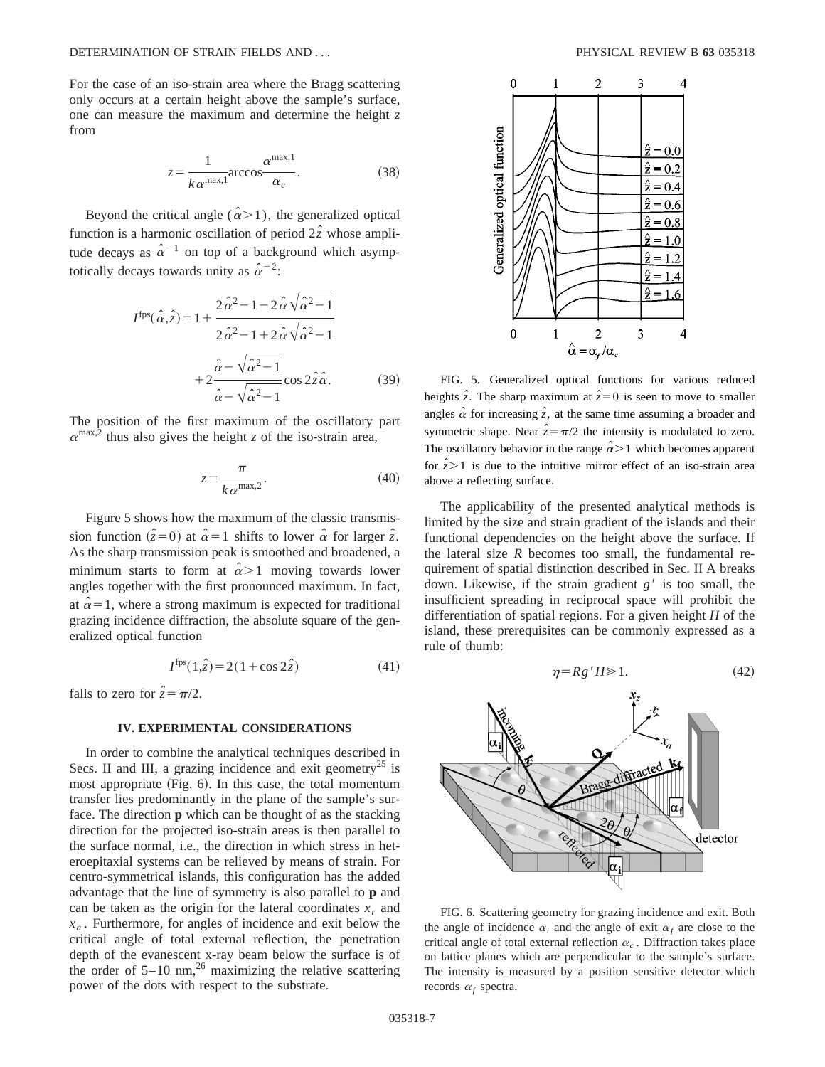For the case of an iso-strain area where the Bragg scattering only occurs at a certain height above the sample's surface, one can measure the maximum and determine the height *z* from

$$
z = \frac{1}{k\alpha^{\max,1}} \arccos \frac{\alpha^{\max,1}}{\alpha_c}.
$$
 (38)

Beyond the critical angle  $(\hat{\alpha} > 1)$ , the generalized optical function is a harmonic oscillation of period  $2\hat{z}$  whose amplitude decays as  $\hat{\alpha}^{-1}$  on top of a background which asymptotically decays towards unity as  $\hat{\alpha}^{-2}$ .

$$
I^{\text{fps}}(\hat{\alpha}, \hat{z}) = 1 + \frac{2\hat{\alpha}^2 - 1 - 2\hat{\alpha}\sqrt{\hat{\alpha}^2 - 1}}{2\hat{\alpha}^2 - 1 + 2\hat{\alpha}\sqrt{\hat{\alpha}^2 - 1}} + 2\frac{\hat{\alpha} - \sqrt{\hat{\alpha}^2 - 1}}{\hat{\alpha} - \sqrt{\hat{\alpha}^2 - 1}} \cos 2\hat{z}\hat{\alpha}.
$$
 (39)

The position of the first maximum of the oscillatory part  $\alpha^{\text{max},2}$  thus also gives the height *z* of the iso-strain area,

$$
z = \frac{\pi}{k \alpha^{\max,2}}.\tag{40}
$$

Figure 5 shows how the maximum of the classic transmission function  $(\hat{z}=0)$  at  $\hat{\alpha}=1$  shifts to lower  $\hat{\alpha}$  for larger  $\hat{z}$ . As the sharp transmission peak is smoothed and broadened, a minimum starts to form at  $\hat{\alpha} > 1$  moving towards lower angles together with the first pronounced maximum. In fact, at  $\hat{\alpha} = 1$ , where a strong maximum is expected for traditional grazing incidence diffraction, the absolute square of the generalized optical function

$$
Ifps(1,\hat{z}) = 2(1 + \cos 2\hat{z})
$$
 (41)

falls to zero for  $\hat{z} = \pi/2$ .

# **IV. EXPERIMENTAL CONSIDERATIONS**

In order to combine the analytical techniques described in Secs. II and III, a grazing incidence and exit geometry<sup>25</sup> is most appropriate  $(Fig. 6)$ . In this case, the total momentum transfer lies predominantly in the plane of the sample's surface. The direction **p** which can be thought of as the stacking direction for the projected iso-strain areas is then parallel to the surface normal, i.e., the direction in which stress in heteroepitaxial systems can be relieved by means of strain. For centro-symmetrical islands, this configuration has the added advantage that the line of symmetry is also parallel to **p** and can be taken as the origin for the lateral coordinates  $x_r$  and  $x_a$ . Furthermore, for angles of incidence and exit below the critical angle of total external reflection, the penetration depth of the evanescent x-ray beam below the surface is of the order of  $5-10 \text{ nm}^{26}$  maximizing the relative scattering power of the dots with respect to the substrate.



FIG. 5. Generalized optical functions for various reduced heights  $\hat{z}$ . The sharp maximum at  $\hat{z} = 0$  is seen to move to smaller angles  $\hat{\alpha}$  for increasing  $\hat{z}$ , at the same time assuming a broader and symmetric shape. Near  $\hat{z} = \pi/2$  the intensity is modulated to zero. The oscillatory behavior in the range  $\hat{\alpha}$  > 1 which becomes apparent for  $\hat{z}$  is due to the intuitive mirror effect of an iso-strain area above a reflecting surface.

The applicability of the presented analytical methods is limited by the size and strain gradient of the islands and their functional dependencies on the height above the surface. If the lateral size *R* becomes too small, the fundamental requirement of spatial distinction described in Sec. II A breaks down. Likewise, if the strain gradient  $g'$  is too small, the insufficient spreading in reciprocal space will prohibit the differentiation of spatial regions. For a given height *H* of the island, these prerequisites can be commonly expressed as a rule of thumb:

$$
\eta = R g' H \gg 1. \tag{42}
$$



FIG. 6. Scattering geometry for grazing incidence and exit. Both the angle of incidence  $\alpha_i$  and the angle of exit  $\alpha_f$  are close to the critical angle of total external reflection  $\alpha_c$ . Diffraction takes place on lattice planes which are perpendicular to the sample's surface. The intensity is measured by a position sensitive detector which records  $\alpha_f$  spectra.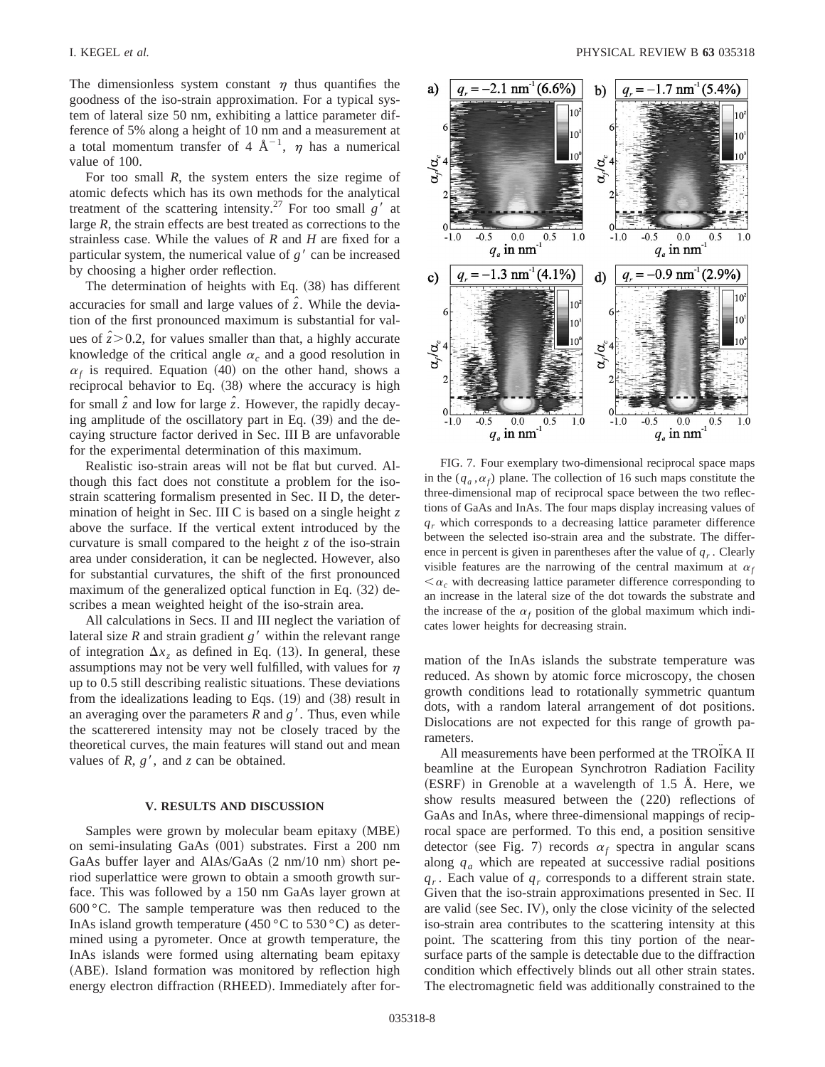The dimensionless system constant  $\eta$  thus quantifies the goodness of the iso-strain approximation. For a typical system of lateral size 50 nm, exhibiting a lattice parameter difference of 5% along a height of 10 nm and a measurement at a total momentum transfer of 4  $\AA^{-1}$ ,  $\eta$  has a numerical value of 100.

For too small *R*, the system enters the size regime of atomic defects which has its own methods for the analytical treatment of the scattering intensity.<sup>27</sup> For too small  $g'$  at large *R*, the strain effects are best treated as corrections to the strainless case. While the values of *R* and *H* are fixed for a particular system, the numerical value of  $g'$  can be increased by choosing a higher order reflection.

The determination of heights with Eq.  $(38)$  has different accuracies for small and large values of *z ˆ*. While the deviation of the first pronounced maximum is substantial for values of  $\hat{z}$  > 0.2, for values smaller than that, a highly accurate knowledge of the critical angle  $\alpha_c$  and a good resolution in  $\alpha_f$  is required. Equation (40) on the other hand, shows a reciprocal behavior to Eq.  $(38)$  where the accuracy is high for small *z ˆ* and low for large *z ˆ*. However, the rapidly decaying amplitude of the oscillatory part in Eq.  $(39)$  and the decaying structure factor derived in Sec. III B are unfavorable for the experimental determination of this maximum.

Realistic iso-strain areas will not be flat but curved. Although this fact does not constitute a problem for the isostrain scattering formalism presented in Sec. II D, the determination of height in Sec. III C is based on a single height *z* above the surface. If the vertical extent introduced by the curvature is small compared to the height *z* of the iso-strain area under consideration, it can be neglected. However, also for substantial curvatures, the shift of the first pronounced maximum of the generalized optical function in Eq.  $(32)$  describes a mean weighted height of the iso-strain area.

All calculations in Secs. II and III neglect the variation of lateral size  $R$  and strain gradient  $g'$  within the relevant range of integration  $\Delta x$ <sub>z</sub> as defined in Eq. (13). In general, these assumptions may not be very well fulfilled, with values for  $\eta$ up to 0.5 still describing realistic situations. These deviations from the idealizations leading to Eqs.  $(19)$  and  $(38)$  result in an averaging over the parameters  $R$  and  $g'$ . Thus, even while the scatterered intensity may not be closely traced by the theoretical curves, the main features will stand out and mean values of  $R$ ,  $g'$ , and  $z$  can be obtained.

#### **V. RESULTS AND DISCUSSION**

Samples were grown by molecular beam epitaxy (MBE) on semi-insulating GaAs  $(001)$  substrates. First a 200 nm GaAs buffer layer and AlAs/GaAs  $(2 \text{ nm}/10 \text{ nm})$  short period superlattice were grown to obtain a smooth growth surface. This was followed by a 150 nm GaAs layer grown at 600 °C. The sample temperature was then reduced to the InAs island growth temperature (450  $\degree$ C to 530  $\degree$ C) as determined using a pyrometer. Once at growth temperature, the InAs islands were formed using alternating beam epitaxy (ABE). Island formation was monitored by reflection high energy electron diffraction (RHEED). Immediately after for-



FIG. 7. Four exemplary two-dimensional reciprocal space maps in the  $(q_a, \alpha_f)$  plane. The collection of 16 such maps constitute the three-dimensional map of reciprocal space between the two reflections of GaAs and InAs. The four maps display increasing values of *qr* which corresponds to a decreasing lattice parameter difference between the selected iso-strain area and the substrate. The difference in percent is given in parentheses after the value of  $q_r$ . Clearly visible features are the narrowing of the central maximum at  $\alpha_f$  $\langle \alpha$ <sub>c</sub> with decreasing lattice parameter difference corresponding to an increase in the lateral size of the dot towards the substrate and the increase of the  $\alpha_f$  position of the global maximum which indicates lower heights for decreasing strain.

mation of the InAs islands the substrate temperature was reduced. As shown by atomic force microscopy, the chosen growth conditions lead to rotationally symmetric quantum dots, with a random lateral arrangement of dot positions. Dislocations are not expected for this range of growth parameters.

All measurements have been performed at the TROÏKA II beamline at the European Synchrotron Radiation Facility  $(ESRF)$  in Grenoble at a wavelength of 1.5 Å. Here, we show results measured between the (220) reflections of GaAs and InAs, where three-dimensional mappings of reciprocal space are performed. To this end, a position sensitive detector (see Fig. 7) records  $\alpha_f$  spectra in angular scans along  $q_a$  which are repeated at successive radial positions  $q_r$ . Each value of  $q_r$  corresponds to a different strain state. Given that the iso-strain approximations presented in Sec. II are valid (see Sec. IV), only the close vicinity of the selected iso-strain area contributes to the scattering intensity at this point. The scattering from this tiny portion of the nearsurface parts of the sample is detectable due to the diffraction condition which effectively blinds out all other strain states. The electromagnetic field was additionally constrained to the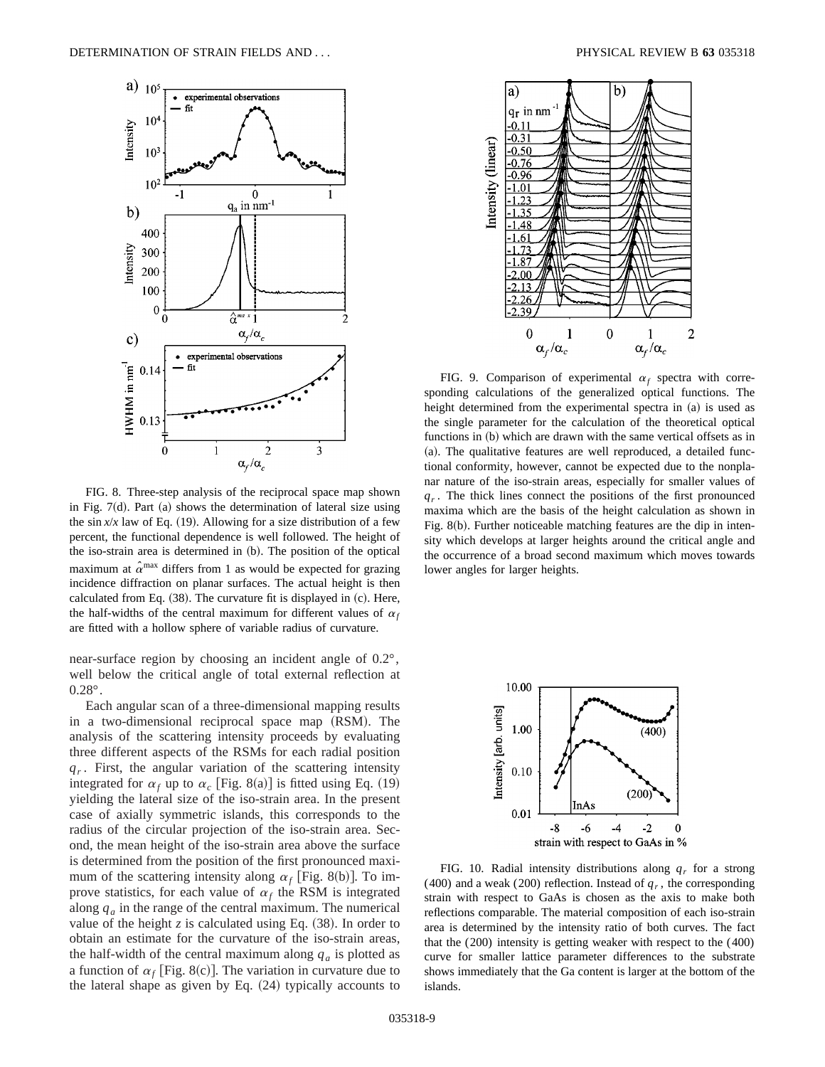

FIG. 8. Three-step analysis of the reciprocal space map shown in Fig.  $7(d)$ . Part  $(a)$  shows the determination of lateral size using the sin  $x/x$  law of Eq. (19). Allowing for a size distribution of a few percent, the functional dependence is well followed. The height of the iso-strain area is determined in (b). The position of the optical maximum at  $\hat{\alpha}^{\text{max}}$  differs from 1 as would be expected for grazing incidence diffraction on planar surfaces. The actual height is then calculated from Eq.  $(38)$ . The curvature fit is displayed in  $(c)$ . Here, the half-widths of the central maximum for different values of  $\alpha_f$ are fitted with a hollow sphere of variable radius of curvature.

near-surface region by choosing an incident angle of 0.2°, well below the critical angle of total external reflection at 0.28°.

Each angular scan of a three-dimensional mapping results in a two-dimensional reciprocal space map (RSM). The analysis of the scattering intensity proceeds by evaluating three different aspects of the RSMs for each radial position  $q_r$ . First, the angular variation of the scattering intensity integrated for  $\alpha_f$  up to  $\alpha_c$  [Fig. 8(a)] is fitted using Eq. (19) yielding the lateral size of the iso-strain area. In the present case of axially symmetric islands, this corresponds to the radius of the circular projection of the iso-strain area. Second, the mean height of the iso-strain area above the surface is determined from the position of the first pronounced maximum of the scattering intensity along  $\alpha_f$  [Fig. 8(b)]. To improve statistics, for each value of  $\alpha_f$  the RSM is integrated along  $q_a$  in the range of the central maximum. The numerical value of the height  $z$  is calculated using Eq.  $(38)$ . In order to obtain an estimate for the curvature of the iso-strain areas, the half-width of the central maximum along  $q_a$  is plotted as a function of  $\alpha_f$  [Fig. 8(c)]. The variation in curvature due to the lateral shape as given by Eq.  $(24)$  typically accounts to



FIG. 9. Comparison of experimental  $\alpha_f$  spectra with corresponding calculations of the generalized optical functions. The height determined from the experimental spectra in (a) is used as the single parameter for the calculation of the theoretical optical functions in (b) which are drawn with the same vertical offsets as in  $(a)$ . The qualitative features are well reproduced, a detailed functional conformity, however, cannot be expected due to the nonplanar nature of the iso-strain areas, especially for smaller values of  $q_r$ . The thick lines connect the positions of the first pronounced maxima which are the basis of the height calculation as shown in Fig.  $8(b)$ . Further noticeable matching features are the dip in intensity which develops at larger heights around the critical angle and the occurrence of a broad second maximum which moves towards lower angles for larger heights.



FIG. 10. Radial intensity distributions along  $q_r$  for a strong (400) and a weak (200) reflection. Instead of  $q_r$ , the corresponding strain with respect to GaAs is chosen as the axis to make both reflections comparable. The material composition of each iso-strain area is determined by the intensity ratio of both curves. The fact that the (200) intensity is getting weaker with respect to the (400) curve for smaller lattice parameter differences to the substrate shows immediately that the Ga content is larger at the bottom of the islands.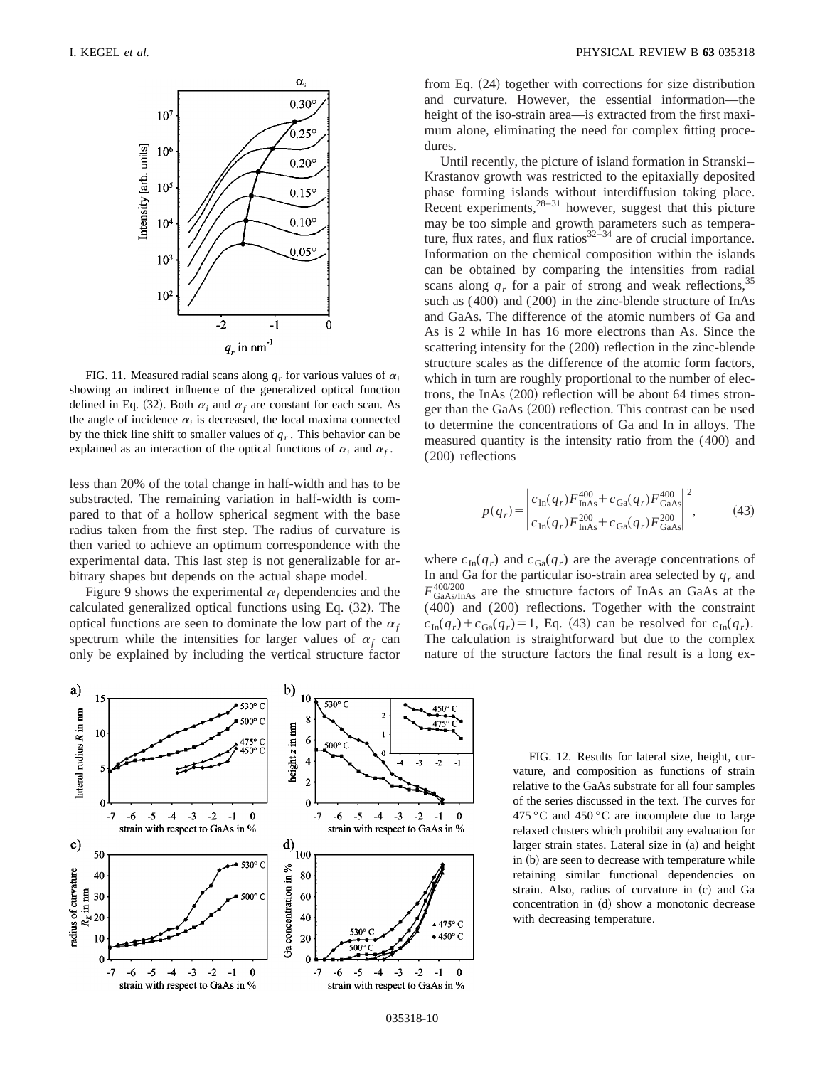

FIG. 11. Measured radial scans along  $q_r$  for various values of  $\alpha_i$ showing an indirect influence of the generalized optical function defined in Eq. (32). Both  $\alpha_i$  and  $\alpha_f$  are constant for each scan. As the angle of incidence  $\alpha_i$  is decreased, the local maxima connected by the thick line shift to smaller values of  $q_r$ . This behavior can be explained as an interaction of the optical functions of  $\alpha_i$  and  $\alpha_f$ .

less than 20% of the total change in half-width and has to be substracted. The remaining variation in half-width is compared to that of a hollow spherical segment with the base radius taken from the first step. The radius of curvature is then varied to achieve an optimum correspondence with the experimental data. This last step is not generalizable for arbitrary shapes but depends on the actual shape model.

Figure 9 shows the experimental  $\alpha_f$  dependencies and the calculated generalized optical functions using Eq.  $(32)$ . The optical functions are seen to dominate the low part of the  $\alpha_f$ spectrum while the intensities for larger values of  $\alpha_f$  can only be explained by including the vertical structure factor from Eq.  $(24)$  together with corrections for size distribution and curvature. However, the essential information—the height of the iso-strain area—is extracted from the first maximum alone, eliminating the need for complex fitting procedures.

Until recently, the picture of island formation in Stranski– Krastanov growth was restricted to the epitaxially deposited phase forming islands without interdiffusion taking place. Recent experiments, $28-31$  however, suggest that this picture may be too simple and growth parameters such as temperature, flux rates, and flux ratios $32\overline{-34}$  are of crucial importance. Information on the chemical composition within the islands can be obtained by comparing the intensities from radial scans along  $q_r$  for a pair of strong and weak reflections,<sup>35</sup> such as (400) and (200) in the zinc-blende structure of InAs and GaAs. The difference of the atomic numbers of Ga and As is 2 while In has 16 more electrons than As. Since the scattering intensity for the (200) reflection in the zinc-blende structure scales as the difference of the atomic form factors, which in turn are roughly proportional to the number of electrons, the InAs  $(200)$  reflection will be about 64 times stronger than the GaAs  $(200)$  reflection. This contrast can be used to determine the concentrations of Ga and In in alloys. The measured quantity is the intensity ratio from the (400) and (200) reflections

$$
p(q_r) = \left| \frac{c_{\text{In}}(q_r) F_{\text{InAs}}^{400} + c_{\text{Ga}}(q_r) F_{\text{GaAs}}^{400}}{c_{\text{In}}(q_r) F_{\text{InAs}}^{200} + c_{\text{Ga}}(q_r) F_{\text{GaAs}}^{200}} \right|^2, \tag{43}
$$

where  $c_{\text{In}}(q_r)$  and  $c_{\text{Ga}}(q_r)$  are the average concentrations of In and Ga for the particular iso-strain area selected by  $q_r$  and  $F_{\text{GaAs/InAs}}^{400/200}$  are the structure factors of InAs an GaAs at the (400) and (200) reflections. Together with the constraint  $c_{\text{In}}(q_r) + c_{\text{Ga}}(q_r) = 1$ , Eq. (43) can be resolved for  $c_{\text{In}}(q_r)$ . The calculation is straightforward but due to the complex nature of the structure factors the final result is a long ex-



FIG. 12. Results for lateral size, height, curvature, and composition as functions of strain relative to the GaAs substrate for all four samples of the series discussed in the text. The curves for 475 °C and 450 °C are incomplete due to large relaxed clusters which prohibit any evaluation for larger strain states. Lateral size in  $(a)$  and height in (b) are seen to decrease with temperature while retaining similar functional dependencies on strain. Also, radius of curvature in (c) and Ga concentration in (d) show a monotonic decrease with decreasing temperature.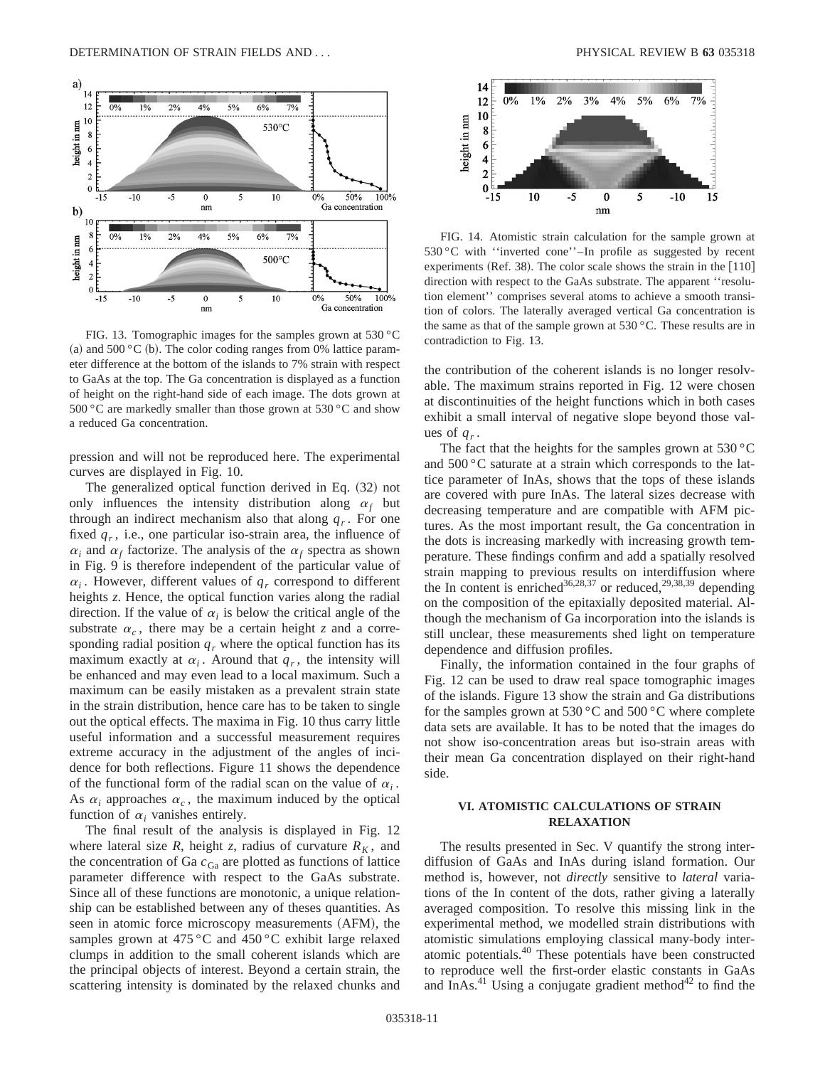

FIG. 13. Tomographic images for the samples grown at 530 °C (a) and  $500 °C$  (b). The color coding ranges from 0% lattice parameter difference at the bottom of the islands to 7% strain with respect to GaAs at the top. The Ga concentration is displayed as a function of height on the right-hand side of each image. The dots grown at 500 °C are markedly smaller than those grown at 530 °C and show a reduced Ga concentration.

pression and will not be reproduced here. The experimental curves are displayed in Fig. 10.

The generalized optical function derived in Eq.  $(32)$  not only influences the intensity distribution along  $\alpha_f$  but through an indirect mechanism also that along  $q_r$ . For one fixed  $q_r$ , i.e., one particular iso-strain area, the influence of  $\alpha_i$  and  $\alpha_f$  factorize. The analysis of the  $\alpha_f$  spectra as shown in Fig. 9 is therefore independent of the particular value of  $\alpha_i$ . However, different values of  $q_r$  correspond to different heights *z*. Hence, the optical function varies along the radial direction. If the value of  $\alpha_i$  is below the critical angle of the substrate  $\alpha_c$ , there may be a certain height *z* and a corresponding radial position  $q_r$  where the optical function has its maximum exactly at  $\alpha_i$ . Around that  $q_r$ , the intensity will be enhanced and may even lead to a local maximum. Such a maximum can be easily mistaken as a prevalent strain state in the strain distribution, hence care has to be taken to single out the optical effects. The maxima in Fig. 10 thus carry little useful information and a successful measurement requires extreme accuracy in the adjustment of the angles of incidence for both reflections. Figure 11 shows the dependence of the functional form of the radial scan on the value of  $\alpha_i$ . As  $\alpha_i$  approaches  $\alpha_c$ , the maximum induced by the optical function of  $\alpha_i$  vanishes entirely.

The final result of the analysis is displayed in Fig. 12 where lateral size *R*, height *z*, radius of curvature  $R_K$ , and the concentration of Ga  $c_{Ga}$  are plotted as functions of lattice parameter difference with respect to the GaAs substrate. Since all of these functions are monotonic, a unique relationship can be established between any of theses quantities. As seen in atomic force microscopy measurements (AFM), the samples grown at 475 °C and 450 °C exhibit large relaxed clumps in addition to the small coherent islands which are the principal objects of interest. Beyond a certain strain, the scattering intensity is dominated by the relaxed chunks and



FIG. 14. Atomistic strain calculation for the sample grown at 530 °C with ''inverted cone''–In profile as suggested by recent experiments (Ref. 38). The color scale shows the strain in the  $[110]$ direction with respect to the GaAs substrate. The apparent ''resolution element'' comprises several atoms to achieve a smooth transition of colors. The laterally averaged vertical Ga concentration is the same as that of the sample grown at 530 °C. These results are in contradiction to Fig. 13.

the contribution of the coherent islands is no longer resolvable. The maximum strains reported in Fig. 12 were chosen at discontinuities of the height functions which in both cases exhibit a small interval of negative slope beyond those values of  $q_r$ .

The fact that the heights for the samples grown at  $530\,^{\circ}\mathrm{C}$ and 500 °C saturate at a strain which corresponds to the lattice parameter of InAs, shows that the tops of these islands are covered with pure InAs. The lateral sizes decrease with decreasing temperature and are compatible with AFM pictures. As the most important result, the Ga concentration in the dots is increasing markedly with increasing growth temperature. These findings confirm and add a spatially resolved strain mapping to previous results on interdiffusion where the In content is enriched<sup>36,28,37</sup> or reduced,<sup>29,38,39</sup> depending on the composition of the epitaxially deposited material. Although the mechanism of Ga incorporation into the islands is still unclear, these measurements shed light on temperature dependence and diffusion profiles.

Finally, the information contained in the four graphs of Fig. 12 can be used to draw real space tomographic images of the islands. Figure 13 show the strain and Ga distributions for the samples grown at 530 $\degree$ C and 500 $\degree$ C where complete data sets are available. It has to be noted that the images do not show iso-concentration areas but iso-strain areas with their mean Ga concentration displayed on their right-hand side.

# **VI. ATOMISTIC CALCULATIONS OF STRAIN RELAXATION**

The results presented in Sec. V quantify the strong interdiffusion of GaAs and InAs during island formation. Our method is, however, not *directly* sensitive to *lateral* variations of the In content of the dots, rather giving a laterally averaged composition. To resolve this missing link in the experimental method, we modelled strain distributions with atomistic simulations employing classical many-body interatomic potentials.40 These potentials have been constructed to reproduce well the first-order elastic constants in GaAs and InAs.<sup>41</sup> Using a conjugate gradient method<sup>42</sup> to find the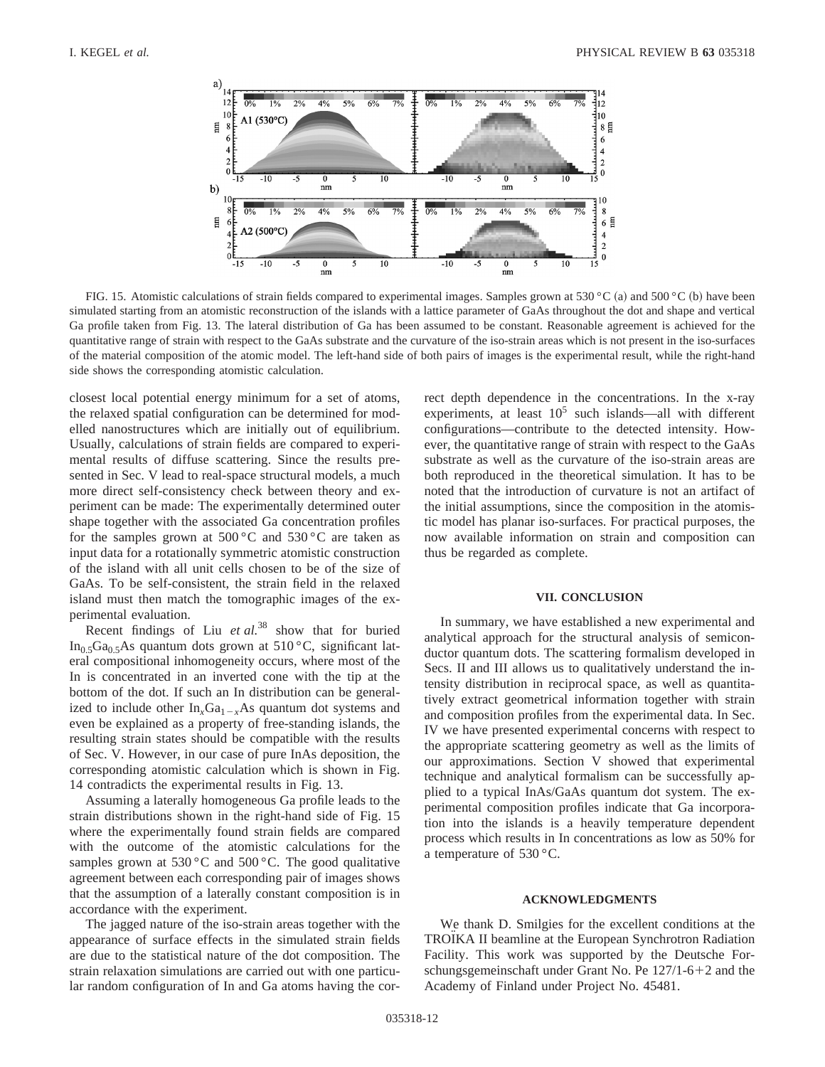

FIG. 15. Atomistic calculations of strain fields compared to experimental images. Samples grown at 530 °C (a) and 500 °C (b) have been simulated starting from an atomistic reconstruction of the islands with a lattice parameter of GaAs throughout the dot and shape and vertical Ga profile taken from Fig. 13. The lateral distribution of Ga has been assumed to be constant. Reasonable agreement is achieved for the quantitative range of strain with respect to the GaAs substrate and the curvature of the iso-strain areas which is not present in the iso-surfaces of the material composition of the atomic model. The left-hand side of both pairs of images is the experimental result, while the right-hand side shows the corresponding atomistic calculation.

closest local potential energy minimum for a set of atoms, the relaxed spatial configuration can be determined for modelled nanostructures which are initially out of equilibrium. Usually, calculations of strain fields are compared to experimental results of diffuse scattering. Since the results presented in Sec. V lead to real-space structural models, a much more direct self-consistency check between theory and experiment can be made: The experimentally determined outer shape together with the associated Ga concentration profiles for the samples grown at  $500\,^{\circ}\text{C}$  and  $530\,^{\circ}\text{C}$  are taken as input data for a rotationally symmetric atomistic construction of the island with all unit cells chosen to be of the size of GaAs. To be self-consistent, the strain field in the relaxed island must then match the tomographic images of the experimental evaluation.

Recent findings of Liu *et al.*<sup>38</sup> show that for buried In<sub>0.5</sub>Ga<sub>0.5</sub>As quantum dots grown at 510 °C, significant lateral compositional inhomogeneity occurs, where most of the In is concentrated in an inverted cone with the tip at the bottom of the dot. If such an In distribution can be generalized to include other  $In_xGa_{1-x}As$  quantum dot systems and even be explained as a property of free-standing islands, the resulting strain states should be compatible with the results of Sec. V. However, in our case of pure InAs deposition, the corresponding atomistic calculation which is shown in Fig. 14 contradicts the experimental results in Fig. 13.

Assuming a laterally homogeneous Ga profile leads to the strain distributions shown in the right-hand side of Fig. 15 where the experimentally found strain fields are compared with the outcome of the atomistic calculations for the samples grown at  $530\,^{\circ}\text{C}$  and  $500\,^{\circ}\text{C}$ . The good qualitative agreement between each corresponding pair of images shows that the assumption of a laterally constant composition is in accordance with the experiment.

The jagged nature of the iso-strain areas together with the appearance of surface effects in the simulated strain fields are due to the statistical nature of the dot composition. The strain relaxation simulations are carried out with one particular random configuration of In and Ga atoms having the correct depth dependence in the concentrations. In the x-ray experiments, at least  $10^5$  such islands—all with different configurations—contribute to the detected intensity. However, the quantitative range of strain with respect to the GaAs substrate as well as the curvature of the iso-strain areas are both reproduced in the theoretical simulation. It has to be noted that the introduction of curvature is not an artifact of the initial assumptions, since the composition in the atomistic model has planar iso-surfaces. For practical purposes, the now available information on strain and composition can thus be regarded as complete.

## **VII. CONCLUSION**

In summary, we have established a new experimental and analytical approach for the structural analysis of semiconductor quantum dots. The scattering formalism developed in Secs. II and III allows us to qualitatively understand the intensity distribution in reciprocal space, as well as quantitatively extract geometrical information together with strain and composition profiles from the experimental data. In Sec. IV we have presented experimental concerns with respect to the appropriate scattering geometry as well as the limits of our approximations. Section V showed that experimental technique and analytical formalism can be successfully applied to a typical InAs/GaAs quantum dot system. The experimental composition profiles indicate that Ga incorporation into the islands is a heavily temperature dependent process which results in In concentrations as low as 50% for a temperature of 530 °C.

### **ACKNOWLEDGMENTS**

We thank D. Smilgies for the excellent conditions at the TROÏKA II beamline at the European Synchrotron Radiation Facility. This work was supported by the Deutsche Forschungsgemeinschaft under Grant No. Pe  $127/1-6+2$  and the Academy of Finland under Project No. 45481.